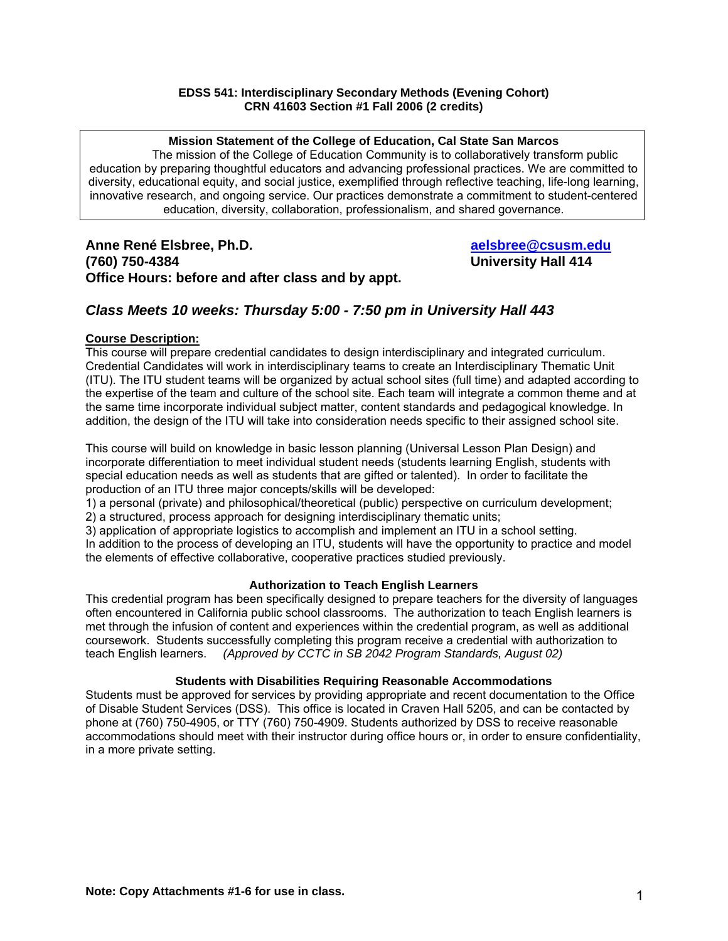#### **EDSS 541: Interdisciplinary Secondary Methods (Evening Cohort) CRN 41603 Section #1 Fall 2006 (2 credits)**

**Mission Statement of the College of Education, Cal State San Marcos**  The mission of the College of Education Community is to collaboratively transform public education by preparing thoughtful educators and advancing professional practices. We are committed to diversity, educational equity, and social justice, exemplified through reflective teaching, life-long learning, innovative research, and ongoing service. Our practices demonstrate a commitment to student-centered education, diversity, collaboration, professionalism, and shared governance.

**Anne René Elsbree, Ph.D. Community Community Anne René Elsbree** @csusm.edu **(760) 750-4384 University Hall 414 Office Hours: before and after class and by appt.** 

#### *Class Meets 10 weeks: Thursday 5:00 - 7:50 pm in University Hall 443*

#### **Course Description:**

This course will prepare credential candidates to design interdisciplinary and integrated curriculum. Credential Candidates will work in interdisciplinary teams to create an Interdisciplinary Thematic Unit (ITU). The ITU student teams will be organized by actual school sites (full time) and adapted according to the expertise of the team and culture of the school site. Each team will integrate a common theme and at the same time incorporate individual subject matter, content standards and pedagogical knowledge. In addition, the design of the ITU will take into consideration needs specific to their assigned school site.

This course will build on knowledge in basic lesson planning (Universal Lesson Plan Design) and incorporate differentiation to meet individual student needs (students learning English, students with special education needs as well as students that are gifted or talented). In order to facilitate the production of an ITU three major concepts/skills will be developed:

1) a personal (private) and philosophical/theoretical (public) perspective on curriculum development;

2) a structured, process approach for designing interdisciplinary thematic units;

3) application of appropriate logistics to accomplish and implement an ITU in a school setting. In addition to the process of developing an ITU, students will have the opportunity to practice and model the elements of effective collaborative, cooperative practices studied previously.

#### **Authorization to Teach English Learners**

This credential program has been specifically designed to prepare teachers for the diversity of languages often encountered in California public school classrooms. The authorization to teach English learners is met through the infusion of content and experiences within the credential program, as well as additional coursework. Students successfully completing this program receive a credential with authorization to teach English learners. *(Approved by CCTC in SB 2042 Program Standards, August 02)*

#### **Students with Disabilities Requiring Reasonable Accommodations**

Students must be approved for services by providing appropriate and recent documentation to the Office of Disable Student Services (DSS). This office is located in Craven Hall 5205, and can be contacted by phone at (760) 750-4905, or TTY (760) 750-4909. Students authorized by DSS to receive reasonable accommodations should meet with their instructor during office hours or, in order to ensure confidentiality, in a more private setting.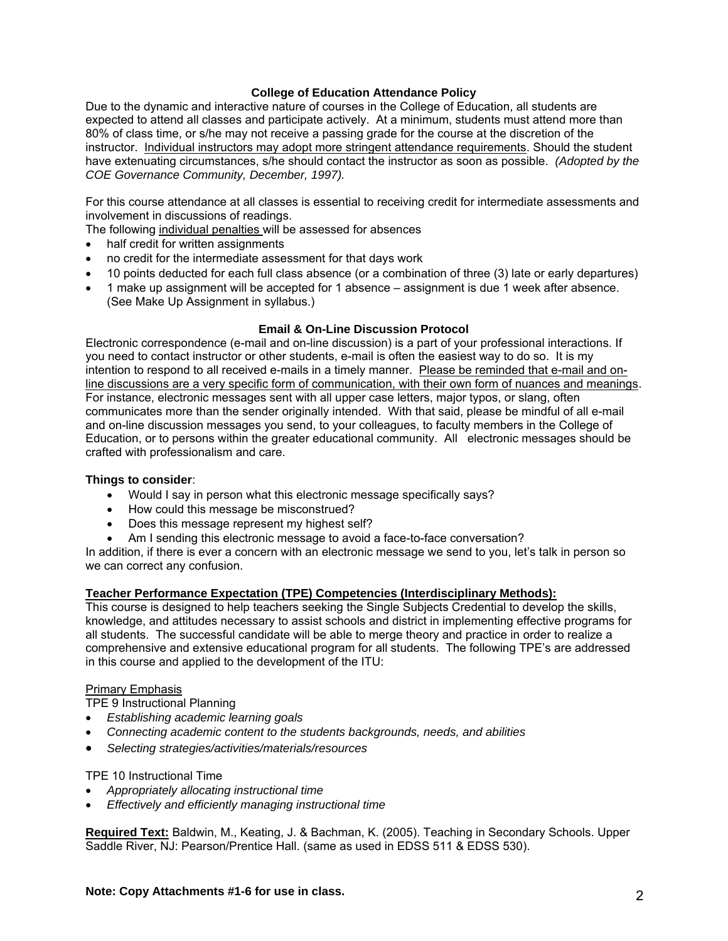#### **College of Education Attendance Policy**

Due to the dynamic and interactive nature of courses in the College of Education, all students are expected to attend all classes and participate actively. At a minimum, students must attend more than 80% of class time, or s/he may not receive a passing grade for the course at the discretion of the instructor. Individual instructors may adopt more stringent attendance requirements. Should the student have extenuating circumstances, s/he should contact the instructor as soon as possible. *(Adopted by the COE Governance Community, December, 1997).*

For this course attendance at all classes is essential to receiving credit for intermediate assessments and involvement in discussions of readings.

The following individual penalties will be assessed for absences

- half credit for written assignments
- no credit for the intermediate assessment for that days work
- 10 points deducted for each full class absence (or a combination of three (3) late or early departures)
- 1 make up assignment will be accepted for 1 absence assignment is due 1 week after absence. (See Make Up Assignment in syllabus.)

#### **Email & On-Line Discussion Protocol**

Electronic correspondence (e-mail and on-line discussion) is a part of your professional interactions. If you need to contact instructor or other students, e-mail is often the easiest way to do so. It is my intention to respond to all received e-mails in a timely manner. Please be reminded that e-mail and online discussions are a very specific form of communication, with their own form of nuances and meanings. For instance, electronic messages sent with all upper case letters, major typos, or slang, often communicates more than the sender originally intended. With that said, please be mindful of all e-mail and on-line discussion messages you send, to your colleagues, to faculty members in the College of Education, or to persons within the greater educational community. All electronic messages should be crafted with professionalism and care.

#### **Things to consider**:

- Would I say in person what this electronic message specifically says?
- How could this message be misconstrued?
- Does this message represent my highest self?
- Am I sending this electronic message to avoid a face-to-face conversation?

In addition, if there is ever a concern with an electronic message we send to you, let's talk in person so we can correct any confusion.

#### **Teacher Performance Expectation (TPE) Competencies (Interdisciplinary Methods):**

This course is designed to help teachers seeking the Single Subjects Credential to develop the skills, knowledge, and attitudes necessary to assist schools and district in implementing effective programs for all students. The successful candidate will be able to merge theory and practice in order to realize a comprehensive and extensive educational program for all students. The following TPE's are addressed in this course and applied to the development of the ITU:

#### Primary Emphasis

TPE 9 Instructional Planning

- *Establishing academic learning goals*
- *Connecting academic content to the students backgrounds, needs, and abilities*
- *Selecting strategies/activities/materials/resources*

#### TPE 10 Instructional Time

- *Appropriately allocating instructional time*
- *Effectively and efficiently managing instructional time*

**Required Text:** Baldwin, M., Keating, J. & Bachman, K. (2005). Teaching in Secondary Schools. Upper Saddle River, NJ: Pearson/Prentice Hall. (same as used in EDSS 511 & EDSS 530).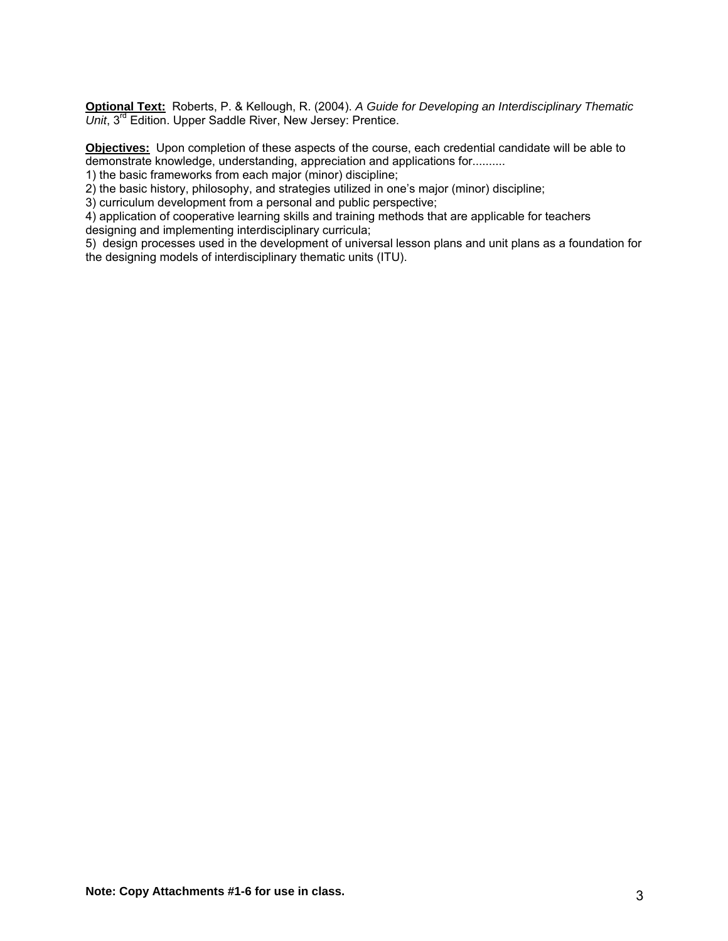**Optional Text:** Roberts, P. & Kellough, R. (2004). *A Guide for Developing an Interdisciplinary Thematic Unit*, 3rd Edition. Upper Saddle River, New Jersey: Prentice.

**Objectives:** Upon completion of these aspects of the course, each credential candidate will be able to demonstrate knowledge, understanding, appreciation and applications for..........

1) the basic frameworks from each major (minor) discipline;

2) the basic history, philosophy, and strategies utilized in one's major (minor) discipline;

3) curriculum development from a personal and public perspective;

4) application of cooperative learning skills and training methods that are applicable for teachers designing and implementing interdisciplinary curricula;

5) design processes used in the development of universal lesson plans and unit plans as a foundation for the designing models of interdisciplinary thematic units (ITU).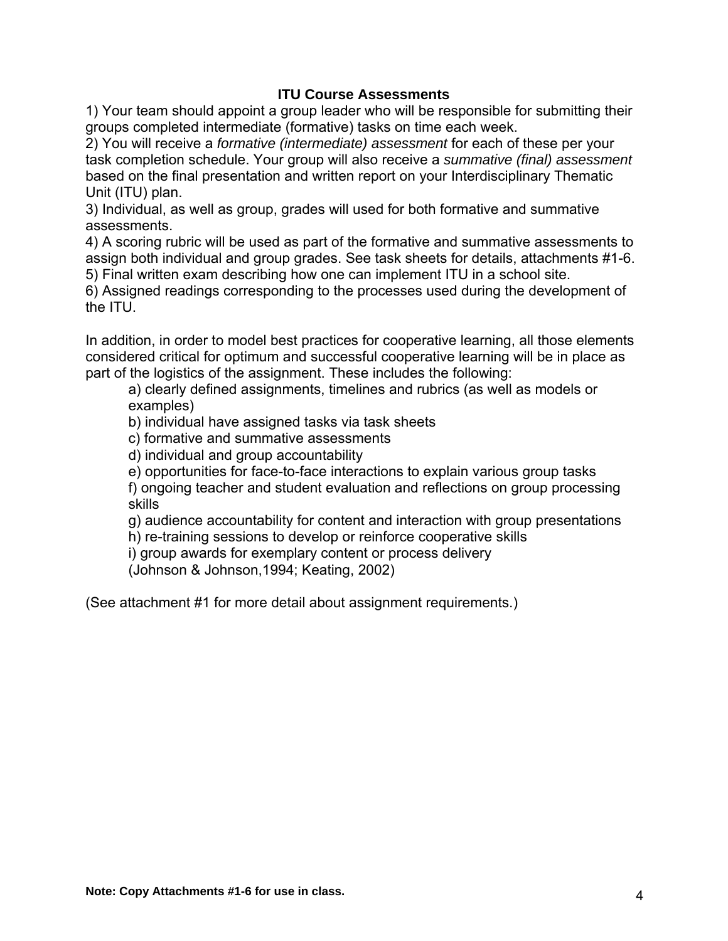### **ITU Course Assessments**

1) Your team should appoint a group leader who will be responsible for submitting their groups completed intermediate (formative) tasks on time each week.

2) You will receive a *formative (intermediate) assessment* for each of these per your task completion schedule. Your group will also receive a *summative (final) assessment*  based on the final presentation and written report on your Interdisciplinary Thematic Unit (ITU) plan.

3) Individual, as well as group, grades will used for both formative and summative assessments.

4) A scoring rubric will be used as part of the formative and summative assessments to assign both individual and group grades. See task sheets for details, attachments #1-6. 5) Final written exam describing how one can implement ITU in a school site.

6) Assigned readings corresponding to the processes used during the development of the ITU.

In addition, in order to model best practices for cooperative learning, all those elements considered critical for optimum and successful cooperative learning will be in place as part of the logistics of the assignment. These includes the following:

a) clearly defined assignments, timelines and rubrics (as well as models or examples)

b) individual have assigned tasks via task sheets

c) formative and summative assessments

d) individual and group accountability

e) opportunities for face-to-face interactions to explain various group tasks

f) ongoing teacher and student evaluation and reflections on group processing skills

g) audience accountability for content and interaction with group presentations

h) re-training sessions to develop or reinforce cooperative skills

i) group awards for exemplary content or process delivery

(Johnson & Johnson,1994; Keating, 2002)

(See attachment #1 for more detail about assignment requirements.)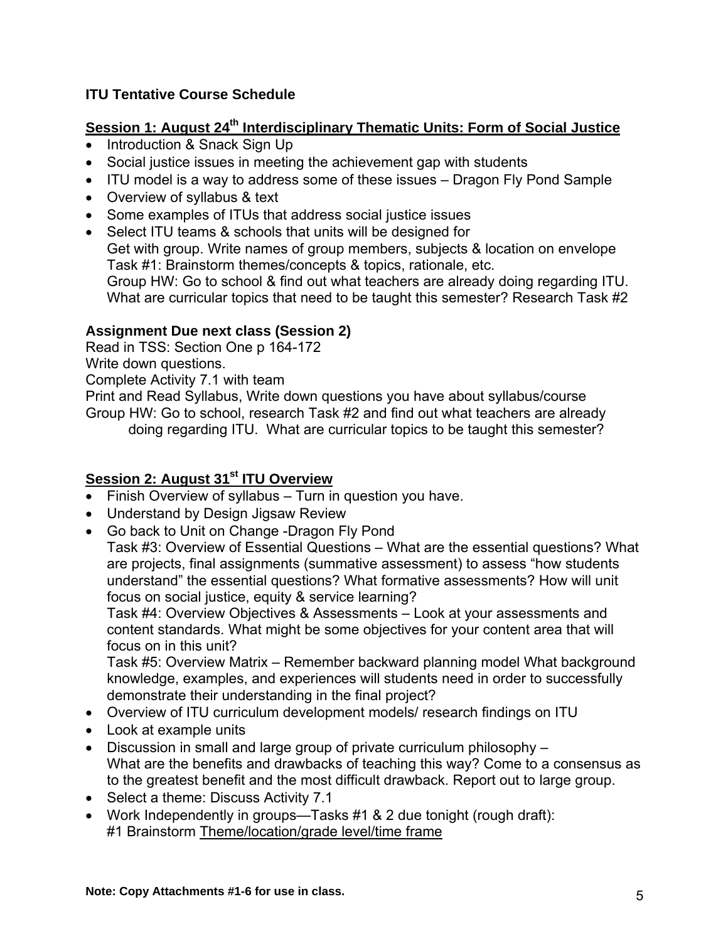## **ITU Tentative Course Schedule**

# **Session 1: August 24<sup>th</sup> Interdisciplinary Thematic Units: Form of Social Justice**

- Introduction & Snack Sign Up
- Social justice issues in meeting the achievement gap with students
- ITU model is a way to address some of these issues Dragon Fly Pond Sample
- Overview of syllabus & text
- Some examples of ITUs that address social justice issues
- Select ITU teams & schools that units will be designed for Get with group. Write names of group members, subjects & location on envelope Task #1: Brainstorm themes/concepts & topics, rationale, etc. Group HW: Go to school & find out what teachers are already doing regarding ITU. What are curricular topics that need to be taught this semester? Research Task #2

### **Assignment Due next class (Session 2)**

Read in TSS: Section One p 164-172

Write down questions.

Complete Activity 7.1 with team

Print and Read Syllabus, Write down questions you have about syllabus/course Group HW: Go to school, research Task #2 and find out what teachers are already doing regarding ITU. What are curricular topics to be taught this semester?

### **Session 2: August 31<sup>st</sup> ITU Overview**

- Finish Overview of syllabus Turn in question you have.
- Understand by Design Jigsaw Review
- Go back to Unit on Change -Dragon Fly Pond

Task #3: Overview of Essential Questions – What are the essential questions? What are projects, final assignments (summative assessment) to assess "how students understand" the essential questions? What formative assessments? How will unit focus on social justice, equity & service learning?

Task #4: Overview Objectives & Assessments – Look at your assessments and content standards. What might be some objectives for your content area that will focus on in this unit?

Task #5: Overview Matrix – Remember backward planning model What background knowledge, examples, and experiences will students need in order to successfully demonstrate their understanding in the final project?

- Overview of ITU curriculum development models/ research findings on ITU
- Look at example units
- Discussion in small and large group of private curriculum philosophy What are the benefits and drawbacks of teaching this way? Come to a consensus as to the greatest benefit and the most difficult drawback. Report out to large group.
- Select a theme: Discuss Activity 7.1
- Work Independently in groups—Tasks #1 & 2 due tonight (rough draft): #1 Brainstorm Theme/location/grade level/time frame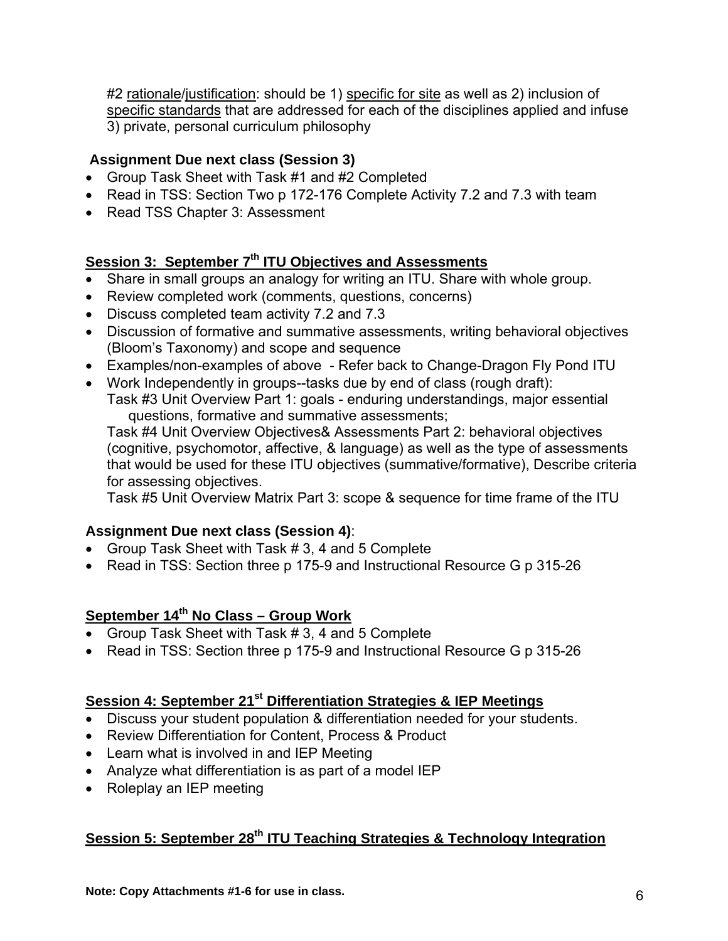#2 rationale/justification: should be 1) specific for site as well as 2) inclusion of specific standards that are addressed for each of the disciplines applied and infuse 3) private, personal curriculum philosophy

### **Assignment Due next class (Session 3)**

- Group Task Sheet with Task #1 and #2 Completed
- Read in TSS: Section Two p 172-176 Complete Activity 7.2 and 7.3 with team
- Read TSS Chapter 3: Assessment

# Session 3: September 7<sup>th</sup> ITU Objectives and Assessments

- Share in small groups an analogy for writing an ITU. Share with whole group.
- Review completed work (comments, questions, concerns)
- Discuss completed team activity 7.2 and 7.3
- Discussion of formative and summative assessments, writing behavioral objectives (Bloom's Taxonomy) and scope and sequence
- Examples/non-examples of above Refer back to Change-Dragon Fly Pond ITU
- Work Independently in groups--tasks due by end of class (rough draft):
	- Task #3 Unit Overview Part 1: goals enduring understandings, major essential questions, formative and summative assessments;

Task #4 Unit Overview Objectives& Assessments Part 2: behavioral objectives (cognitive, psychomotor, affective, & language) as well as the type of assessments that would be used for these ITU objectives (summative/formative), Describe criteria for assessing objectives.

Task #5 Unit Overview Matrix Part 3: scope & sequence for time frame of the ITU

### **Assignment Due next class (Session 4)**:

- Group Task Sheet with Task # 3, 4 and 5 Complete
- Read in TSS: Section three p 175-9 and Instructional Resource G p 315-26

# **September 14th No Class – Group Work**

- Group Task Sheet with Task # 3, 4 and 5 Complete
- Read in TSS: Section three p 175-9 and Instructional Resource G p 315-26

# **Session 4: September 21st Differentiation Strategies & IEP Meetings**

- Discuss your student population & differentiation needed for your students.
- Review Differentiation for Content, Process & Product
- Learn what is involved in and IEP Meeting
- Analyze what differentiation is as part of a model IEP
- Roleplay an IEP meeting

# **Session 5: September 28th ITU Teaching Strategies & Technology Integration**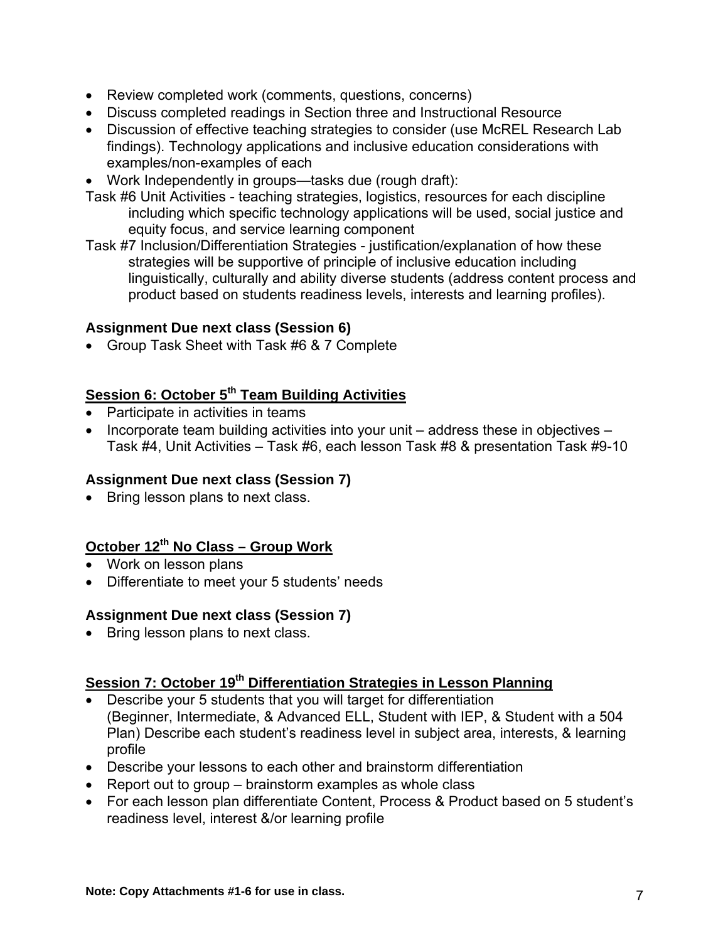- Review completed work (comments, questions, concerns)
- Discuss completed readings in Section three and Instructional Resource
- Discussion of effective teaching strategies to consider (use McREL Research Lab findings). Technology applications and inclusive education considerations with examples/non-examples of each
- Work Independently in groups—tasks due (rough draft):
- Task #6 Unit Activities teaching strategies, logistics, resources for each discipline including which specific technology applications will be used, social justice and equity focus, and service learning component
- Task #7 Inclusion/Differentiation Strategies justification/explanation of how these strategies will be supportive of principle of inclusive education including linguistically, culturally and ability diverse students (address content process and product based on students readiness levels, interests and learning profiles).

### **Assignment Due next class (Session 6)**

• Group Task Sheet with Task #6 & 7 Complete

# **Session 6: October 5th Team Building Activities**

- Participate in activities in teams
- Incorporate team building activities into your unit address these in objectives Task #4, Unit Activities – Task #6, each lesson Task #8 & presentation Task #9-10

### **Assignment Due next class (Session 7)**

• Bring lesson plans to next class.

## **October 12<sup>th</sup> No Class – Group Work**

- Work on lesson plans
- Differentiate to meet your 5 students' needs

### **Assignment Due next class (Session 7)**

• Bring lesson plans to next class.

# **Session 7: October 19<sup>th</sup> Differentiation Strategies in Lesson Planning**

- Describe your 5 students that you will target for differentiation (Beginner, Intermediate, & Advanced ELL, Student with IEP, & Student with a 504 Plan) Describe each student's readiness level in subject area, interests, & learning profile
- Describe your lessons to each other and brainstorm differentiation
- Report out to group brainstorm examples as whole class
- For each lesson plan differentiate Content, Process & Product based on 5 student's readiness level, interest &/or learning profile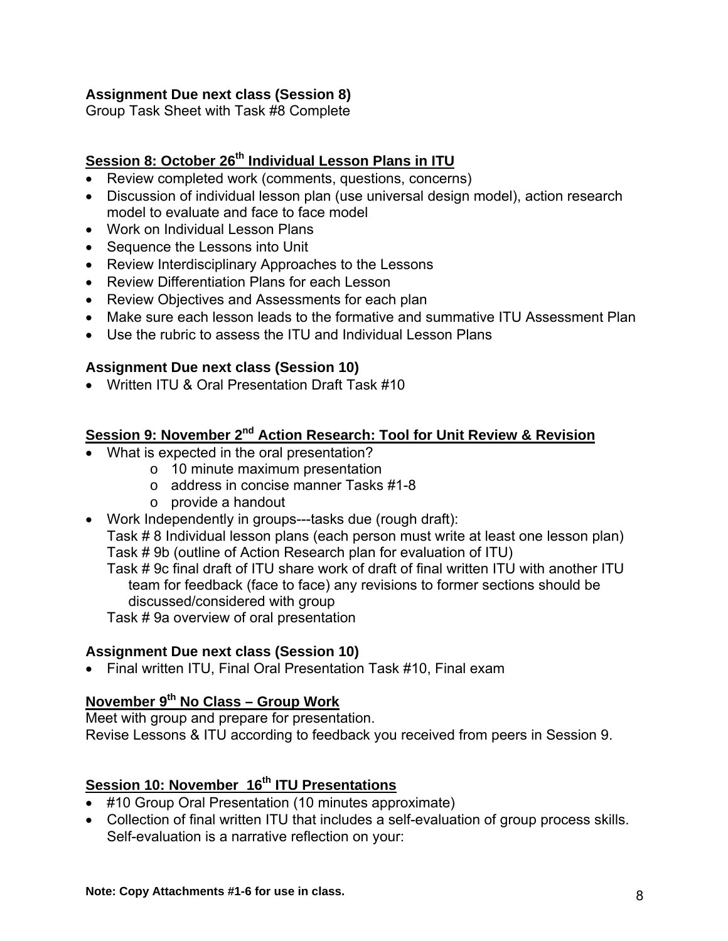### **Assignment Due next class (Session 8)**

Group Task Sheet with Task #8 Complete

# **Session 8: October 26<sup>th</sup> Individual Lesson Plans in ITU**

- Review completed work (comments, questions, concerns)
- Discussion of individual lesson plan (use universal design model), action research model to evaluate and face to face model
- Work on Individual Lesson Plans
- Sequence the Lessons into Unit
- Review Interdisciplinary Approaches to the Lessons
- Review Differentiation Plans for each Lesson
- Review Objectives and Assessments for each plan
- Make sure each lesson leads to the formative and summative ITU Assessment Plan
- Use the rubric to assess the ITU and Individual Lesson Plans

### **Assignment Due next class (Session 10)**

• Written ITU & Oral Presentation Draft Task #10

### **<u>Session 9: November 2<sup>nd</sup> Action Research: Tool for Unit Review & Revision</u>**

- What is expected in the oral presentation?
	- o 10 minute maximum presentation
	- o address in concise manner Tasks #1-8
	- o provide a handout
- Work Independently in groups---tasks due (rough draft):

Task # 8 Individual lesson plans (each person must write at least one lesson plan) Task # 9b (outline of Action Research plan for evaluation of ITU)

Task # 9c final draft of ITU share work of draft of final written ITU with another ITU team for feedback (face to face) any revisions to former sections should be discussed/considered with group

Task # 9a overview of oral presentation

### **Assignment Due next class (Session 10)**

• Final written ITU, Final Oral Presentation Task #10, Final exam

# **November 9th No Class – Group Work**

Meet with group and prepare for presentation. Revise Lessons & ITU according to feedback you received from peers in Session 9.

# **Session 10: November 16<sup>th</sup> ITU Presentations**

- #10 Group Oral Presentation (10 minutes approximate)
- Collection of final written ITU that includes a self-evaluation of group process skills. Self-evaluation is a narrative reflection on your: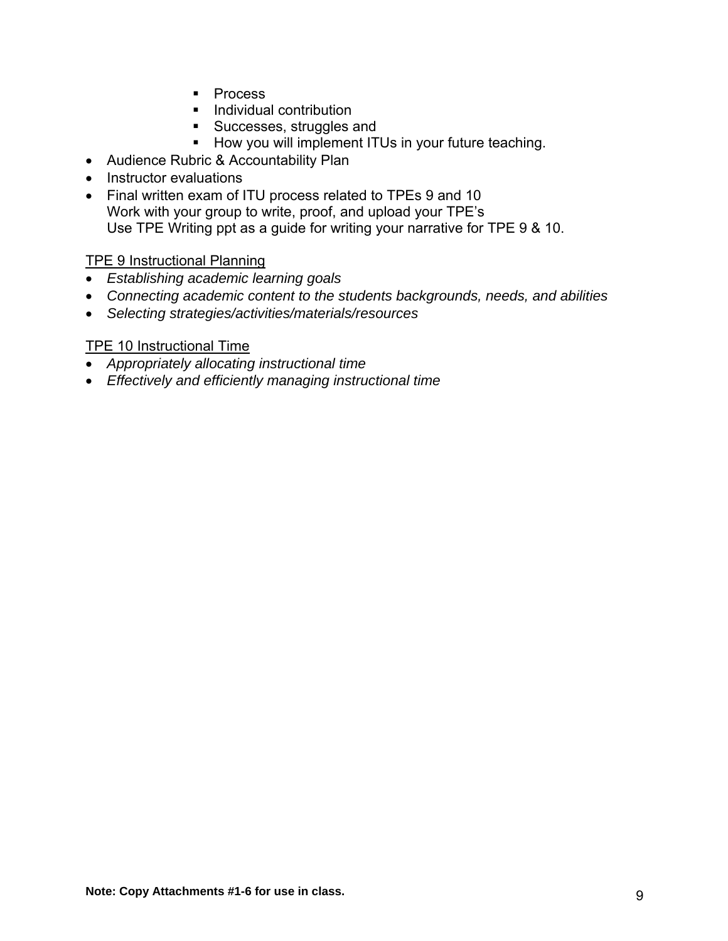- **Process**
- **Individual contribution**
- Successes, struggles and
- **How you will implement ITUs in your future teaching.**
- Audience Rubric & Accountability Plan
- Instructor evaluations
- Final written exam of ITU process related to TPEs 9 and 10 Work with your group to write, proof, and upload your TPE's Use TPE Writing ppt as a guide for writing your narrative for TPE 9 & 10.

### TPE 9 Instructional Planning

- *Establishing academic learning goals*
- *Connecting academic content to the students backgrounds, needs, and abilities*
- *Selecting strategies/activities/materials/resources*

### TPE 10 Instructional Time

- *Appropriately allocating instructional time*
- *Effectively and efficiently managing instructional time*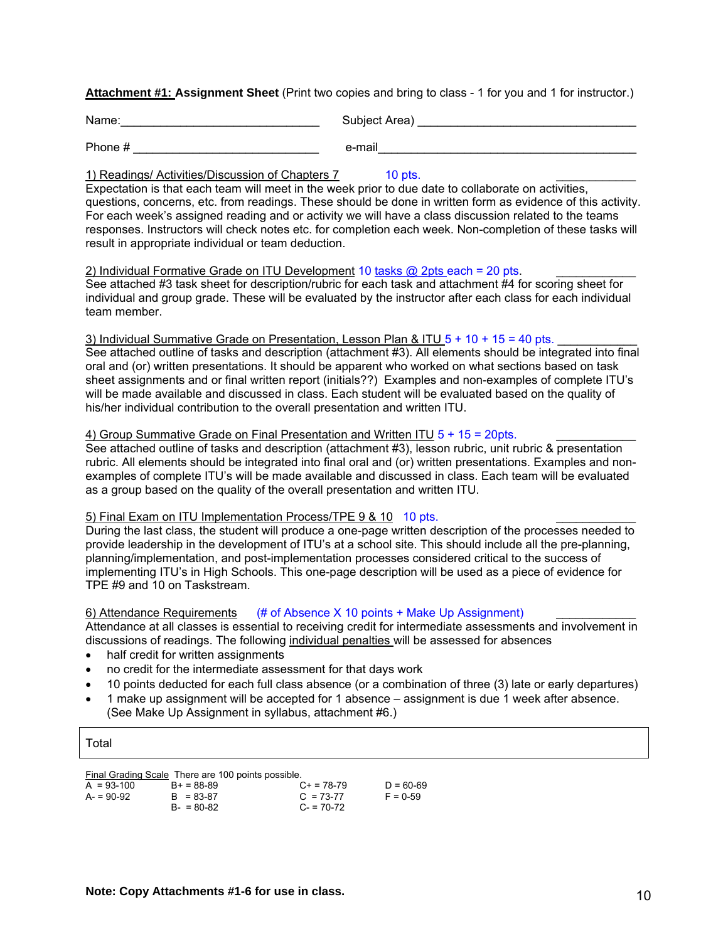**Attachment #1: Assignment Sheet** (Print two copies and bring to class - 1 for you and 1 for instructor.)

| Name:   | Subject Area) |
|---------|---------------|
| Phone # | e-mail        |

#### 1) Readings/ Activities/Discussion of Chapters 7 10 pts.

Expectation is that each team will meet in the week prior to due date to collaborate on activities, questions, concerns, etc. from readings. These should be done in written form as evidence of this activity. For each week's assigned reading and or activity we will have a class discussion related to the teams responses. Instructors will check notes etc. for completion each week. Non-completion of these tasks will result in appropriate individual or team deduction.

#### 2) Individual Formative Grade on ITU Development 10 tasks  $@$  2pts each = 20 pts.

See attached #3 task sheet for description/rubric for each task and attachment #4 for scoring sheet for individual and group grade. These will be evaluated by the instructor after each class for each individual team member.

#### 3) Individual Summative Grade on Presentation, Lesson Plan & ITU  $5 + 10 + 15 = 40$  pts.

See attached outline of tasks and description (attachment #3). All elements should be integrated into final oral and (or) written presentations. It should be apparent who worked on what sections based on task sheet assignments and or final written report (initials??) Examples and non-examples of complete ITU's will be made available and discussed in class. Each student will be evaluated based on the quality of his/her individual contribution to the overall presentation and written ITU.

#### 4) Group Summative Grade on Final Presentation and Written ITU  $5 + 15 = 20$ pts.

See attached outline of tasks and description (attachment #3), lesson rubric, unit rubric & presentation rubric. All elements should be integrated into final oral and (or) written presentations. Examples and nonexamples of complete ITU's will be made available and discussed in class. Each team will be evaluated as a group based on the quality of the overall presentation and written ITU.

#### 5) Final Exam on ITU Implementation Process/TPE 9 & 10 10 pts.

During the last class, the student will produce a one-page written description of the processes needed to provide leadership in the development of ITU's at a school site. This should include all the pre-planning, planning/implementation, and post-implementation processes considered critical to the success of implementing ITU's in High Schools. This one-page description will be used as a piece of evidence for TPE #9 and 10 on Taskstream.

#### 6) Attendance Requirements  $(4/10)$  points + Make Up Assignment)

Attendance at all classes is essential to receiving credit for intermediate assessments and involvement in discussions of readings. The following individual penalties will be assessed for absences

- half credit for written assignments
- no credit for the intermediate assessment for that days work
- 10 points deducted for each full class absence (or a combination of three (3) late or early departures)
- 1 make up assignment will be accepted for 1 absence assignment is due 1 week after absence. (See Make Up Assignment in syllabus, attachment #6.)

#### Total

Final Grading Scale There are 100 points possible.

| $A = 93-100$ | $B+ = 88-89$  | $C_{+}$ = 78-79 | $D = 60-69$ |
|--------------|---------------|-----------------|-------------|
| $A = 90-92$  | $B = 83-87$   | $C = 73-77$     | $F = 0.59$  |
|              | $B - 80 - 82$ | $C = 70-72$     |             |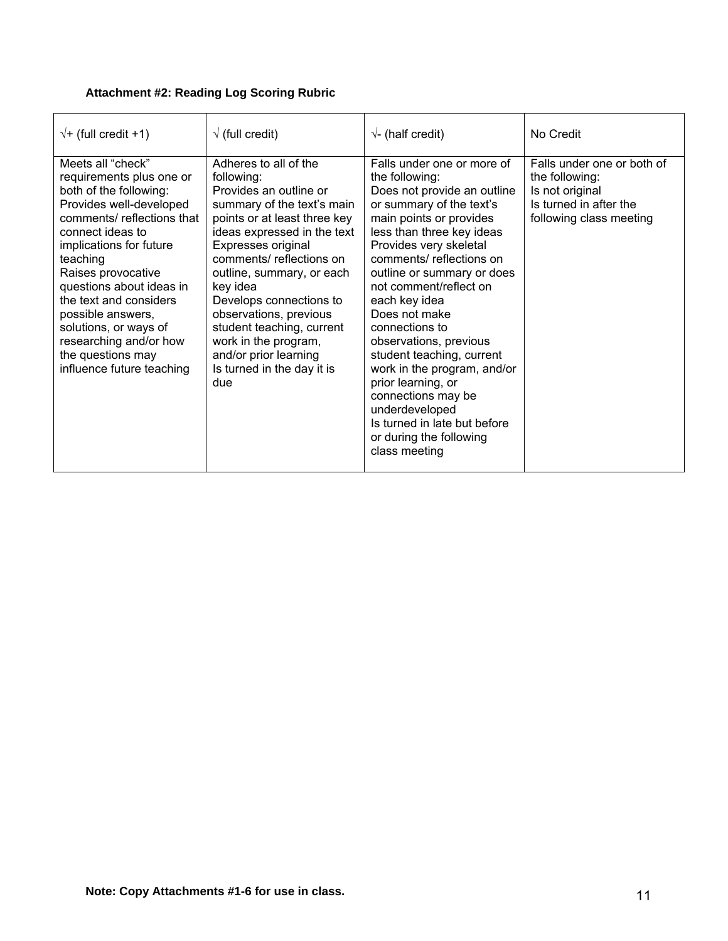### **Attachment #2: Reading Log Scoring Rubric**

| $\sqrt{+}$ (full credit +1)                                                                                                                                                                                                                                                                                                                                                                       | $\sqrt{}$ (full credit)                                                                                                                                                                                                                                                                                                                                                                                                      | $\sqrt{\ }$ (half credit)                                                                                                                                                                                                                                                                                                                                                                                                                                                                                                                                        | No Credit                                                                                                            |
|---------------------------------------------------------------------------------------------------------------------------------------------------------------------------------------------------------------------------------------------------------------------------------------------------------------------------------------------------------------------------------------------------|------------------------------------------------------------------------------------------------------------------------------------------------------------------------------------------------------------------------------------------------------------------------------------------------------------------------------------------------------------------------------------------------------------------------------|------------------------------------------------------------------------------------------------------------------------------------------------------------------------------------------------------------------------------------------------------------------------------------------------------------------------------------------------------------------------------------------------------------------------------------------------------------------------------------------------------------------------------------------------------------------|----------------------------------------------------------------------------------------------------------------------|
| Meets all "check"<br>requirements plus one or<br>both of the following:<br>Provides well-developed<br>comments/ reflections that<br>connect ideas to<br>implications for future<br>teaching<br>Raises provocative<br>questions about ideas in<br>the text and considers<br>possible answers,<br>solutions, or ways of<br>researching and/or how<br>the questions may<br>influence future teaching | Adheres to all of the<br>following:<br>Provides an outline or<br>summary of the text's main<br>points or at least three key<br>ideas expressed in the text<br>Expresses original<br>comments/reflections on<br>outline, summary, or each<br>key idea<br>Develops connections to<br>observations, previous<br>student teaching, current<br>work in the program,<br>and/or prior learning<br>Is turned in the day it is<br>due | Falls under one or more of<br>the following:<br>Does not provide an outline<br>or summary of the text's<br>main points or provides<br>less than three key ideas<br>Provides very skeletal<br>comments/reflections on<br>outline or summary or does<br>not comment/reflect on<br>each key idea<br>Does not make<br>connections to<br>observations, previous<br>student teaching, current<br>work in the program, and/or<br>prior learning, or<br>connections may be<br>underdeveloped<br>Is turned in late but before<br>or during the following<br>class meeting | Falls under one or both of<br>the following:<br>Is not original<br>Is turned in after the<br>following class meeting |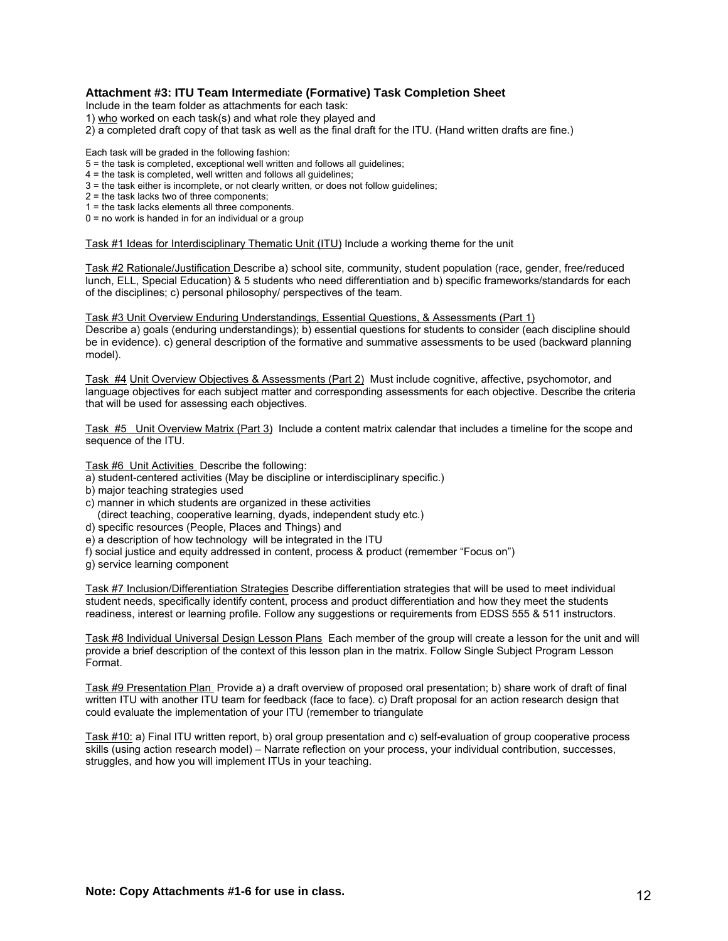#### **Attachment #3: ITU Team Intermediate (Formative) Task Completion Sheet**

Include in the team folder as attachments for each task:

- 1) who worked on each task(s) and what role they played and
- 2) a completed draft copy of that task as well as the final draft for the ITU. (Hand written drafts are fine.)

Each task will be graded in the following fashion:

- 5 = the task is completed, exceptional well written and follows all guidelines;
- 4 = the task is completed, well written and follows all guidelines;
- 3 = the task either is incomplete, or not clearly written, or does not follow guidelines;
- 2 = the task lacks two of three components;
- 1 = the task lacks elements all three components.
- $0 =$  no work is handed in for an individual or a group

Task #1 Ideas for Interdisciplinary Thematic Unit (ITU) Include a working theme for the unit

Task #2 Rationale/Justification Describe a) school site, community, student population (race, gender, free/reduced lunch, ELL, Special Education) & 5 students who need differentiation and b) specific frameworks/standards for each of the disciplines; c) personal philosophy/ perspectives of the team.

Task #3 Unit Overview Enduring Understandings, Essential Questions, & Assessments (Part 1) Describe a) goals (enduring understandings); b) essential questions for students to consider (each discipline should be in evidence). c) general description of the formative and summative assessments to be used (backward planning model).

Task #4 Unit Overview Objectives & Assessments (Part 2) Must include cognitive, affective, psychomotor, and language objectives for each subject matter and corresponding assessments for each objective. Describe the criteria that will be used for assessing each objectives.

Task #5 Unit Overview Matrix (Part 3) Include a content matrix calendar that includes a timeline for the scope and sequence of the ITU.

Task #6 Unit Activities Describe the following:

- a) student-centered activities (May be discipline or interdisciplinary specific.)
- b) major teaching strategies used
- c) manner in which students are organized in these activities
- (direct teaching, cooperative learning, dyads, independent study etc.)
- d) specific resources (People, Places and Things) and
- e) a description of how technology will be integrated in the ITU
- f) social justice and equity addressed in content, process & product (remember "Focus on")
- g) service learning component

Task #7 Inclusion/Differentiation Strategies Describe differentiation strategies that will be used to meet individual student needs, specifically identify content, process and product differentiation and how they meet the students readiness, interest or learning profile. Follow any suggestions or requirements from EDSS 555 & 511 instructors.

Task #8 Individual Universal Design Lesson Plans Each member of the group will create a lesson for the unit and will provide a brief description of the context of this lesson plan in the matrix. Follow Single Subject Program Lesson Format.

Task #9 Presentation Plan Provide a) a draft overview of proposed oral presentation; b) share work of draft of final written ITU with another ITU team for feedback (face to face). c) Draft proposal for an action research design that could evaluate the implementation of your ITU (remember to triangulate

Task #10: a) Final ITU written report, b) oral group presentation and c) self-evaluation of group cooperative process skills (using action research model) – Narrate reflection on your process, your individual contribution, successes, struggles, and how you will implement ITUs in your teaching.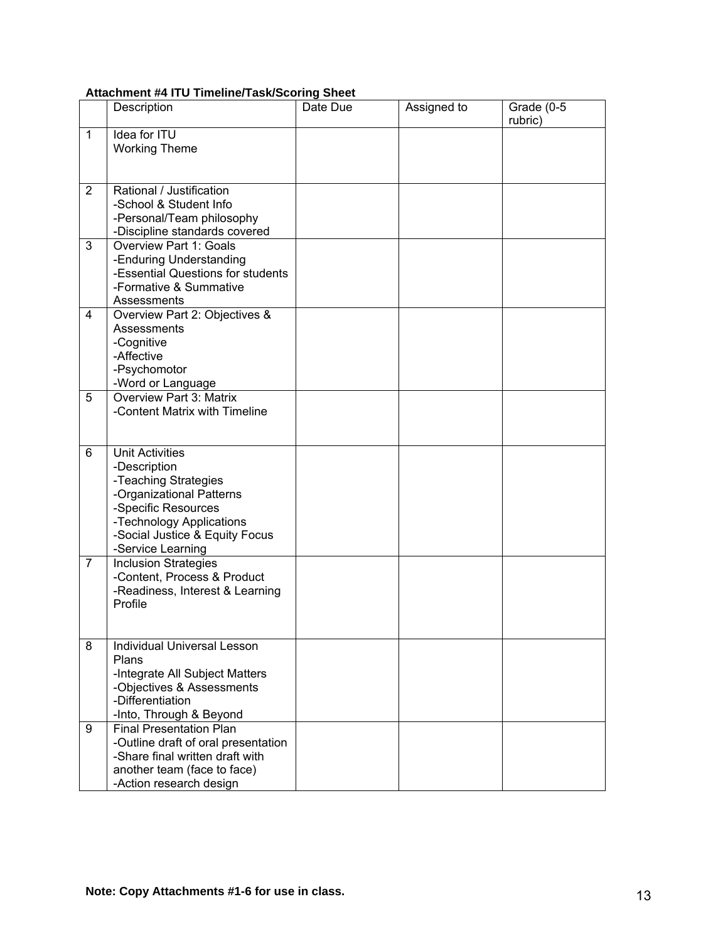#### **Attachment #4 ITU Timeline/Task/Scoring Sheet**

|                | Description                                                                                                                                                                                          | Date Due | Assigned to | Grade (0-5<br>rubric) |
|----------------|------------------------------------------------------------------------------------------------------------------------------------------------------------------------------------------------------|----------|-------------|-----------------------|
| $\mathbf{1}$   | Idea for ITU<br><b>Working Theme</b>                                                                                                                                                                 |          |             |                       |
| 2              | Rational / Justification<br>-School & Student Info<br>-Personal/Team philosophy<br>-Discipline standards covered                                                                                     |          |             |                       |
| 3              | <b>Overview Part 1: Goals</b><br>-Enduring Understanding<br>-Essential Questions for students<br>-Formative & Summative<br>Assessments                                                               |          |             |                       |
| 4              | Overview Part 2: Objectives &<br>Assessments<br>-Cognitive<br>-Affective<br>-Psychomotor<br>-Word or Language                                                                                        |          |             |                       |
| 5              | <b>Overview Part 3: Matrix</b><br>-Content Matrix with Timeline                                                                                                                                      |          |             |                       |
| 6              | <b>Unit Activities</b><br>-Description<br>-Teaching Strategies<br>-Organizational Patterns<br>-Specific Resources<br>-Technology Applications<br>-Social Justice & Equity Focus<br>-Service Learning |          |             |                       |
| $\overline{7}$ | <b>Inclusion Strategies</b><br>-Content, Process & Product<br>-Readiness, Interest & Learning<br>Profile                                                                                             |          |             |                       |
| 8              | <b>Individual Universal Lesson</b><br>Plans<br>-Integrate All Subject Matters<br>-Objectives & Assessments<br>-Differentiation<br>-Into, Through & Beyond                                            |          |             |                       |
| 9              | <b>Final Presentation Plan</b><br>-Outline draft of oral presentation<br>-Share final written draft with<br>another team (face to face)<br>-Action research design                                   |          |             |                       |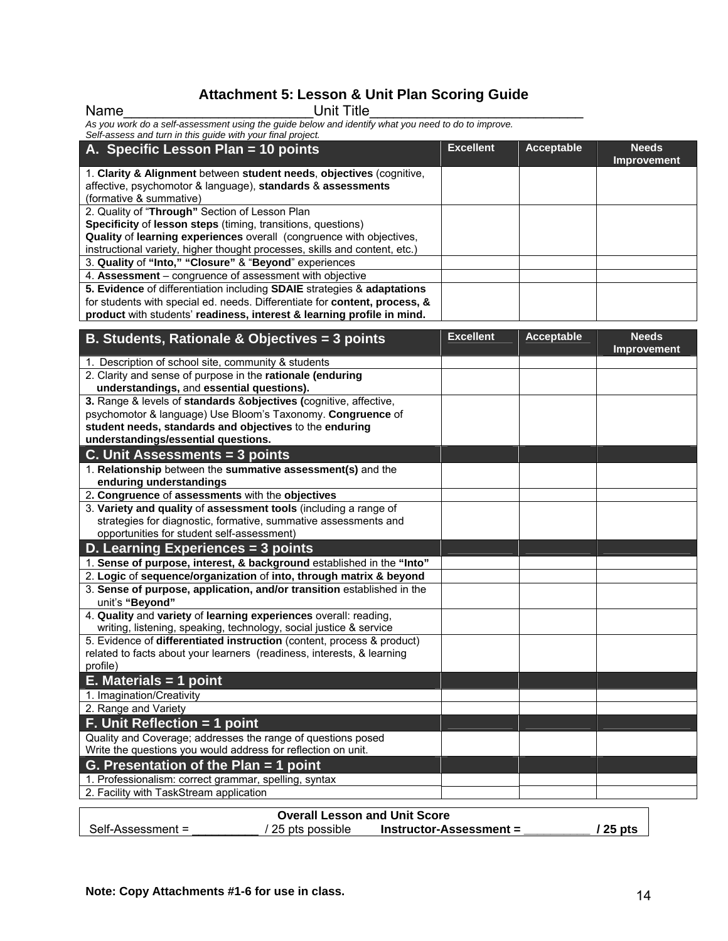# **Attachment 5: Lesson & Unit Plan Scoring Guide**

| <b>Unit Title</b><br>Name                                                                           |                  |                   |                                    |
|-----------------------------------------------------------------------------------------------------|------------------|-------------------|------------------------------------|
| As you work do a self-assessment using the guide below and identify what you need to do to improve. |                  |                   |                                    |
| Self-assess and turn in this guide with your final project.                                         |                  |                   |                                    |
| A. Specific Lesson Plan = 10 points                                                                 | <b>Excellent</b> | <b>Acceptable</b> | <b>Needs</b><br><b>Improvement</b> |
| 1. Clarity & Alignment between student needs, objectives (cognitive,                                |                  |                   |                                    |
| affective, psychomotor & language), standards & assessments                                         |                  |                   |                                    |
| (formative & summative)                                                                             |                  |                   |                                    |
| 2. Quality of "Through" Section of Lesson Plan                                                      |                  |                   |                                    |
| Specificity of lesson steps (timing, transitions, questions)                                        |                  |                   |                                    |
| Quality of learning experiences overall (congruence with objectives,                                |                  |                   |                                    |
| instructional variety, higher thought processes, skills and content, etc.)                          |                  |                   |                                    |
| 3. Quality of "Into," "Closure" & "Beyond" experiences                                              |                  |                   |                                    |
| 4. Assessment - congruence of assessment with objective                                             |                  |                   |                                    |
| 5. Evidence of differentiation including SDAIE strategies & adaptations                             |                  |                   |                                    |
| for students with special ed. needs. Differentiate for content, process, &                          |                  |                   |                                    |
| product with students' readiness, interest & learning profile in mind.                              |                  |                   |                                    |
|                                                                                                     |                  |                   |                                    |
| B. Students, Rationale & Objectives = 3 points                                                      | <b>Excellent</b> | Acceptable        | <b>Needs</b><br><b>Improvement</b> |
| 1. Description of school site, community & students                                                 |                  |                   |                                    |
| 2. Clarity and sense of purpose in the rationale (enduring                                          |                  |                   |                                    |
| understandings, and essential questions).                                                           |                  |                   |                                    |
| 3. Range & levels of standards & objectives (cognitive, affective,                                  |                  |                   |                                    |
| psychomotor & language) Use Bloom's Taxonomy. Congruence of                                         |                  |                   |                                    |
| student needs, standards and objectives to the enduring                                             |                  |                   |                                    |
| understandings/essential questions.                                                                 |                  |                   |                                    |
| C. Unit Assessments = 3 points                                                                      |                  |                   |                                    |
| 1. Relationship between the summative assessment(s) and the                                         |                  |                   |                                    |
| enduring understandings                                                                             |                  |                   |                                    |
| 2. Congruence of assessments with the objectives                                                    |                  |                   |                                    |
| 3. Variety and quality of assessment tools (including a range of                                    |                  |                   |                                    |
| strategies for diagnostic, formative, summative assessments and                                     |                  |                   |                                    |
| opportunities for student self-assessment)                                                          |                  |                   |                                    |
| D. Learning Experiences = 3 points                                                                  |                  |                   |                                    |
| 1. Sense of purpose, interest, & background established in the "Into"                               |                  |                   |                                    |
| 2. Logic of sequence/organization of into, through matrix & beyond                                  |                  |                   |                                    |
| 3. Sense of purpose, application, and/or transition established in the                              |                  |                   |                                    |
| unit's "Beyond"                                                                                     |                  |                   |                                    |
| 4. Quality and variety of learning experiences overall: reading,                                    |                  |                   |                                    |
| writing, listening, speaking, technology, social justice & service                                  |                  |                   |                                    |
| 5. Evidence of <b>differentiated instruction</b> (content, process & product)                       |                  |                   |                                    |
| related to facts about your learners (readiness, interests, & learning                              |                  |                   |                                    |
| profile)                                                                                            |                  |                   |                                    |
| $E.$ Materials = 1 point                                                                            |                  |                   |                                    |
| 1. Imagination/Creativity                                                                           |                  |                   |                                    |
| 2. Range and Variety                                                                                |                  |                   |                                    |
| F. Unit Reflection = 1 point                                                                        |                  |                   |                                    |
| Quality and Coverage; addresses the range of questions posed                                        |                  |                   |                                    |
| Write the questions you would address for reflection on unit.                                       |                  |                   |                                    |
| G. Presentation of the Plan $=$ 1 point                                                             |                  |                   |                                    |
| 1. Professionalism: correct grammar, spelling, syntax                                               |                  |                   |                                    |
| 2. Facility with TaskStream application                                                             |                  |                   |                                    |
|                                                                                                     |                  |                   |                                    |

| <b>Overall Lesson and Unit Score</b> |                 |                           |          |  |
|--------------------------------------|-----------------|---------------------------|----------|--|
| Self-Assessment =                    | 25 pts possible | $Instructor-Assessment =$ | / 25 pts |  |